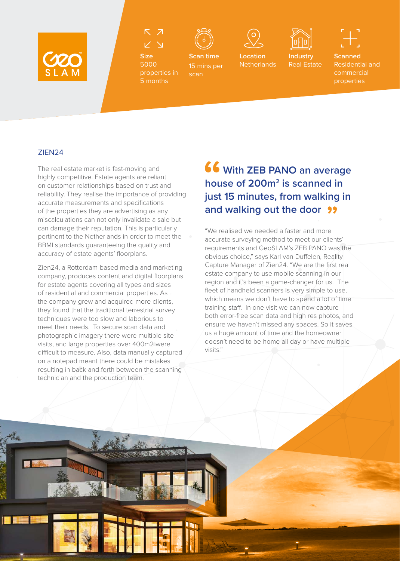



**Size** 5000 properties in 5 months

**Scan time** 15 mins per

scan



**Location** 



**Netherlands Industry** Real Estate **Scanned** Residential and commercial properties

## ZIEN24

暖

L

The real estate market is fast-moving and highly competitive. Estate agents are reliant on customer relationships based on trust and reliability. They realise the importance of providing accurate measurements and specifications of the properties they are advertising as any miscalculations can not only invalidate a sale but can damage their reputation. This is particularly pertinent to the Netherlands in order to meet the BBMI standards guaranteeing the quality and accuracy of estate agents' floorplans.

Zien24, a Rotterdam-based media and marketing company, produces content and digital floorplans for estate agents covering all types and sizes of residential and commercial properties. As the company grew and acquired more clients, they found that the traditional terrestrial survey techniques were too slow and laborious to meet their needs. To secure scan data and photographic imagery there were multiple site visits, and large properties over 400m2 were difficult to measure. Also, data manually captured on a notepad meant there could be mistakes resulting in back and forth between the scanning technician and the production team.

## **With ZEB PANO an average house of 200m<sup>2</sup> is scanned in just 15 minutes, from walking in and walking out the door**

"We realised we needed a faster and more accurate surveying method to meet our clients' requirements and GeoSLAM's ZEB PANO was the obvious choice," says Karl van Duffelen, Reality Capture Manager of Zien24. "We are the first real estate company to use mobile scanning in our region and it's been a game-changer for us. The fleet of handheld scanners is very simple to use, which means we don't have to spend a lot of time training staff. In one visit we can now capture both error-free scan data and high res photos, and ensure we haven't missed any spaces. So it saves us a huge amount of time and the homeowner doesn't need to be home all day or have multiple visits."